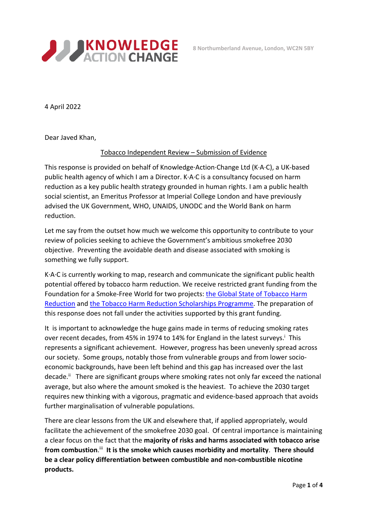

4 April 2022

Dear Javed Khan,

## Tobacco Independent Review – Submission of Evidence

This response is provided on behalf of Knowledge·Action·Change Ltd (K·A·C), a UK-based public health agency of which I am a Director. K·A·C is a consultancy focused on harm reduction as a key public health strategy grounded in human rights. I am a public health social scientist, an Emeritus Professor at Imperial College London and have previously advised the UK Government, WHO, UNAIDS, UNODC and the World Bank on harm reduction.

Let me say from the outset how much we welcome this opportunity to contribute to your review of policies seeking to achieve the Government's ambitious smokefree 2030 objective. Preventing the avoidable death and disease associated with smoking is something we fully support.

K·A·C is currently working to map, research and communicate the significant public health potential offered by tobacco harm reduction. We receive restricted grant funding from the Foundation for a Smoke-Free World for two projects: the Global State of Tobacco Harm Reduction and the Tobacco Harm Reduction Scholarships Programme. The preparation of this response does not fall under the activities supported by this grant funding.

It is important to acknowledge the huge gains made in terms of reducing smoking rates over recent decades, from 45% in 1974 to 14% for England in the latest surveys.<sup>i</sup> This represents a significant achievement. However, progress has been unevenly spread across our society. Some groups, notably those from vulnerable groups and from lower socioeconomic backgrounds, have been left behind and this gap has increased over the last decade.<sup>ii</sup> There are significant groups where smoking rates not only far exceed the national average, but also where the amount smoked is the heaviest. To achieve the 2030 target requires new thinking with a vigorous, pragmatic and evidence-based approach that avoids further marginalisation of vulnerable populations.

There are clear lessons from the UK and elsewhere that, if applied appropriately, would facilitate the achievement of the smokefree 2030 goal. Of central importance is maintaining a clear focus on the fact that the **majority of risks and harms associated with tobacco arise**  from combustion.<sup>iii</sup> It is the smoke which causes morbidity and mortality. There should **be a clear policy differentiation between combustible and non-combustible nicotine products.**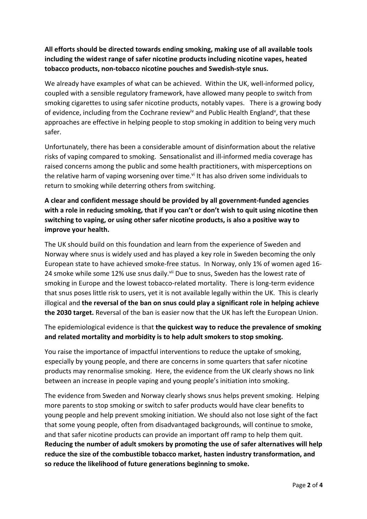## **All efforts should be directed towards ending smoking, making use of all available tools including the widest range of safer nicotine products including nicotine vapes, heated tobacco products, non-tobacco nicotine pouches and Swedish-style snus.**

We already have examples of what can be achieved. Within the UK, well-informed policy, coupled with a sensible regulatory framework, have allowed many people to switch from smoking cigarettes to using safer nicotine products, notably vapes. There is a growing body of evidence, including from the Cochrane review<sup>iv</sup> and Public Health England<sup>v</sup>, that these approaches are effective in helping people to stop smoking in addition to being very much safer.

Unfortunately, there has been a considerable amount of disinformation about the relative risks of vaping compared to smoking. Sensationalist and ill-informed media coverage has raised concerns among the public and some health practitioners, with misperceptions on the relative harm of vaping worsening over time.<sup>vi</sup> It has also driven some individuals to return to smoking while deterring others from switching.

## **A clear and confident message should be provided by all government-funded agencies with a role in reducing smoking, that if you can't or don't wish to quit using nicotine then switching to vaping, or using other safer nicotine products, is also a positive way to improve your health.**

The UK should build on this foundation and learn from the experience of Sweden and Norway where snus is widely used and has played a key role in Sweden becoming the only European state to have achieved smoke-free status. In Norway, only 1% of women aged 16- 24 smoke while some 12% use snus daily.<sup>vii</sup> Due to snus, Sweden has the lowest rate of smoking in Europe and the lowest tobacco-related mortality. There is long-term evidence that snus poses little risk to users, yet it is not available legally within the UK. This is clearly illogical and **the reversal of the ban on snus could play a significant role in helping achieve the 2030 target.** Reversal of the ban is easier now that the UK has left the European Union.

The epidemiological evidence is that **the quickest way to reduce the prevalence of smoking and related mortality and morbidity is to help adult smokers to stop smoking.**

You raise the importance of impactful interventions to reduce the uptake of smoking, especially by young people, and there are concerns in some quarters that safer nicotine products may renormalise smoking. Here, the evidence from the UK clearly shows no link between an increase in people vaping and young people's initiation into smoking.

The evidence from Sweden and Norway clearly shows snus helps prevent smoking. Helping more parents to stop smoking or switch to safer products would have clear benefits to young people and help prevent smoking initiation. We should also not lose sight of the fact that some young people, often from disadvantaged backgrounds, will continue to smoke, and that safer nicotine products can provide an important off ramp to help them quit. **Reducing the number of adult smokers by promoting the use of safer alternatives will help reduce the size of the combustible tobacco market, hasten industry transformation, and so reduce the likelihood of future generations beginning to smoke.**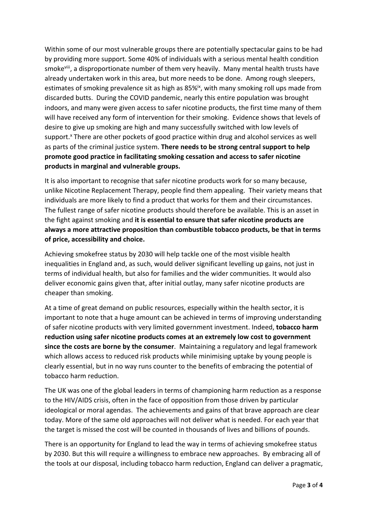Within some of our most vulnerable groups there are potentially spectacular gains to be had by providing more support. Some 40% of individuals with a serious mental health condition smoke<sup>viii</sup>, a disproportionate number of them very heavily. Many mental health trusts have already undertaken work in this area, but more needs to be done. Among rough sleepers, estimates of smoking prevalence sit as high as 85%<sup>ix</sup>, with many smoking roll ups made from discarded butts. During the COVID pandemic, nearly this entire population was brought indoors, and many were given access to safer nicotine products, the first time many of them will have received any form of intervention for their smoking. Evidence shows that levels of desire to give up smoking are high and many successfully switched with low levels of support.<sup>x</sup> There are other pockets of good practice within drug and alcohol services as well as parts of the criminal justice system. **There needs to be strong central support to help promote good practice in facilitating smoking cessation and access to safer nicotine products in marginal and vulnerable groups.**

It is also important to recognise that safer nicotine products work for so many because, unlike Nicotine Replacement Therapy, people find them appealing. Their variety means that individuals are more likely to find a product that works for them and their circumstances. The fullest range of safer nicotine products should therefore be available. This is an asset in the fight against smoking and **it is essential to ensure that safer nicotine products are always a more attractive proposition than combustible tobacco products, be that in terms of price, accessibility and choice.**

Achieving smokefree status by 2030 will help tackle one of the most visible health inequalities in England and, as such, would deliver significant levelling up gains, not just in terms of individual health, but also for families and the wider communities. It would also deliver economic gains given that, after initial outlay, many safer nicotine products are cheaper than smoking.

At a time of great demand on public resources, especially within the health sector, it is important to note that a huge amount can be achieved in terms of improving understanding of safer nicotine products with very limited government investment. Indeed, **tobacco harm reduction using safer nicotine products comes at an extremely low cost to government since the costs are borne by the consumer**. Maintaining a regulatory and legal framework which allows access to reduced risk products while minimising uptake by young people is clearly essential, but in no way runs counter to the benefits of embracing the potential of tobacco harm reduction.

The UK was one of the global leaders in terms of championing harm reduction as a response to the HIV/AIDS crisis, often in the face of opposition from those driven by particular ideological or moral agendas. The achievements and gains of that brave approach are clear today. More of the same old approaches will not deliver what is needed. For each year that the target is missed the cost will be counted in thousands of lives and billions of pounds.

There is an opportunity for England to lead the way in terms of achieving smokefree status by 2030. But this will require a willingness to embrace new approaches. By embracing all of the tools at our disposal, including tobacco harm reduction, England can deliver a pragmatic,